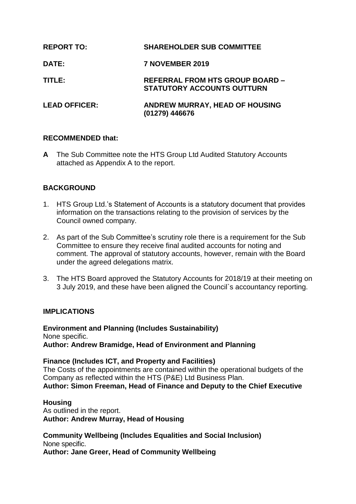| <b>REPORT TO:</b>    | <b>SHAREHOLDER SUB COMMITTEE</b>                                            |
|----------------------|-----------------------------------------------------------------------------|
| <b>DATE:</b>         | <b>7 NOVEMBER 2019</b>                                                      |
| TITLE:               | <b>REFERRAL FROM HTS GROUP BOARD -</b><br><b>STATUTORY ACCOUNTS OUTTURN</b> |
| <b>LEAD OFFICER:</b> | <b>ANDREW MURRAY, HEAD OF HOUSING</b><br>(01279) 446676                     |

### **RECOMMENDED that:**

**A** The Sub Committee note the HTS Group Ltd Audited Statutory Accounts attached as Appendix A to the report.

# **BACKGROUND**

- 1. HTS Group Ltd.'s Statement of Accounts is a statutory document that provides information on the transactions relating to the provision of services by the Council owned company.
- 2. As part of the Sub Committee's scrutiny role there is a requirement for the Sub Committee to ensure they receive final audited accounts for noting and comment. The approval of statutory accounts, however, remain with the Board under the agreed delegations matrix.
- 3. The HTS Board approved the Statutory Accounts for 2018/19 at their meeting on 3 July 2019, and these have been aligned the Council`s accountancy reporting.

# **IMPLICATIONS**

**Environment and Planning (Includes Sustainability)** None specific. **Author: Andrew Bramidge, Head of Environment and Planning**

### **Finance (Includes ICT, and Property and Facilities)**

The Costs of the appointments are contained within the operational budgets of the Company as reflected within the HTS (P&E) Ltd Business Plan.

**Author: Simon Freeman, Head of Finance and Deputy to the Chief Executive**

### **Housing**

As outlined in the report. **Author: Andrew Murray, Head of Housing**

#### **Community Wellbeing (Includes Equalities and Social Inclusion)** None specific.

**Author: Jane Greer, Head of Community Wellbeing**